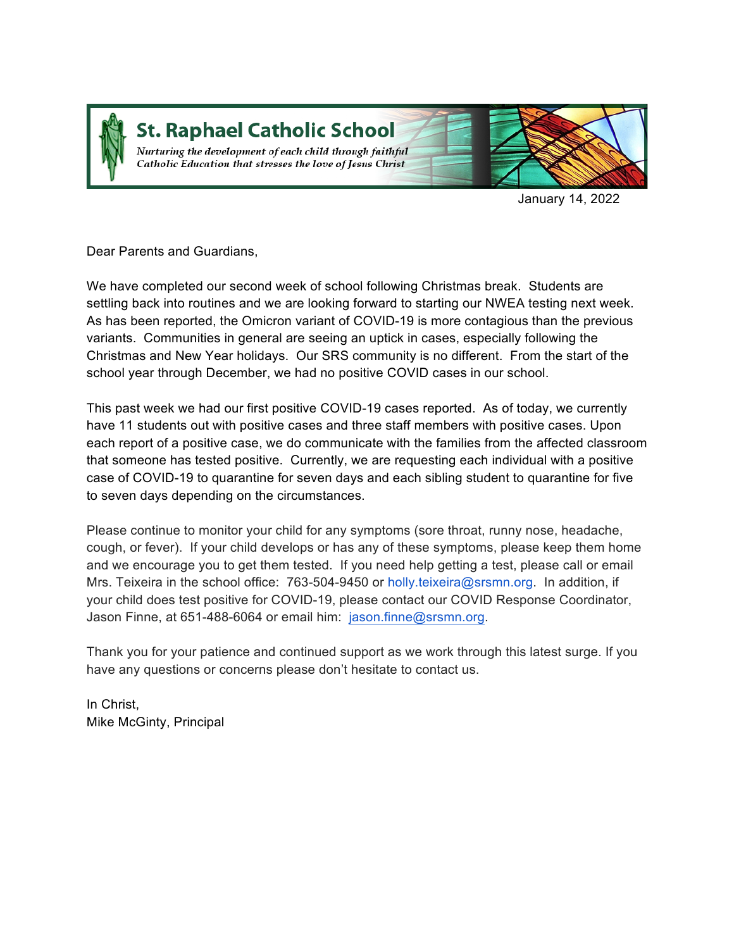

# **St. Raphael Catholic School**

Nurturing the development of each child through faithful Catholic Education that stresses the love of Jesus Christ



January 14, 2022

Dear Parents and Guardians,

We have completed our second week of school following Christmas break. Students are settling back into routines and we are looking forward to starting our NWEA testing next week. As has been reported, the Omicron variant of COVID-19 is more contagious than the previous variants. Communities in general are seeing an uptick in cases, especially following the Christmas and New Year holidays. Our SRS community is no different. From the start of the school year through December, we had no positive COVID cases in our school.

This past week we had our first positive COVID-19 cases reported. As of today, we currently have 11 students out with positive cases and three staff members with positive cases. Upon each report of a positive case, we do communicate with the families from the affected classroom that someone has tested positive. Currently, we are requesting each individual with a positive case of COVID-19 to quarantine for seven days and each sibling student to quarantine for five to seven days depending on the circumstances.

Please continue to monitor your child for any symptoms (sore throat, runny nose, headache, cough, or fever). If your child develops or has any of these symptoms, please keep them home and we encourage you to get them tested. If you need help getting a test, please call or email Mrs. Teixeira in the school office: 763-504-9450 or holly.teixeira@srsmn.org. In addition, if your child does test positive for COVID-19, please contact our COVID Response Coordinator, Jason Finne, at 651-488-6064 or email him: jason.finne@srsmn.org.

Thank you for your patience and continued support as we work through this latest surge. If you have any questions or concerns please don't hesitate to contact us.

In Christ, Mike McGinty, Principal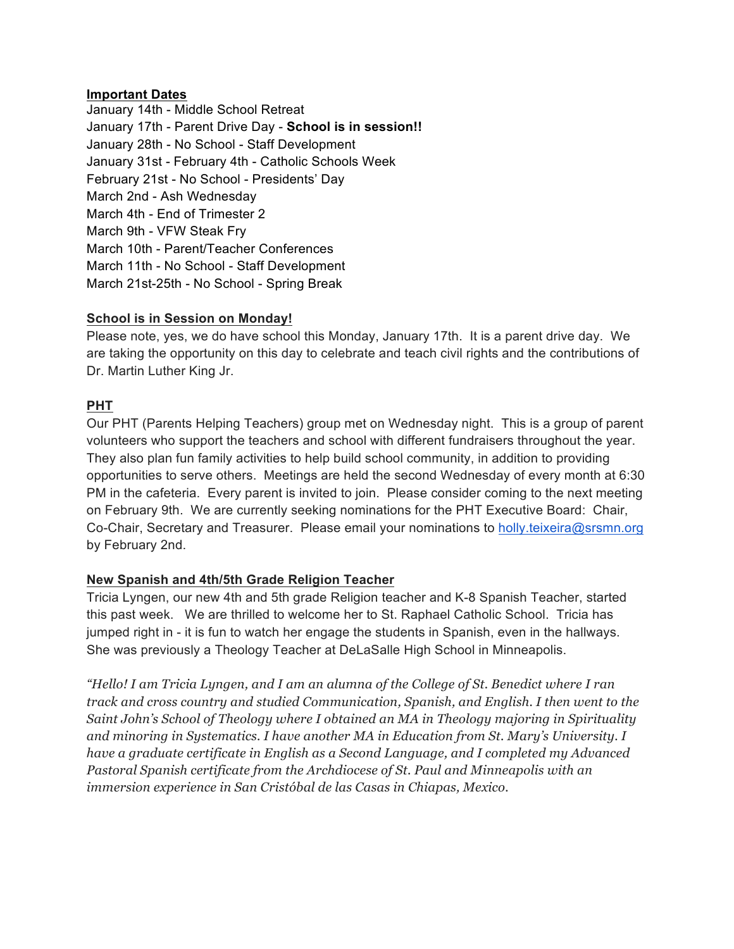#### **Important Dates**

January 14th - Middle School Retreat January 17th - Parent Drive Day - **School is in session!!** January 28th - No School - Staff Development January 31st - February 4th - Catholic Schools Week February 21st - No School - Presidents' Day March 2nd - Ash Wednesday March 4th - End of Trimester 2 March 9th - VFW Steak Fry March 10th - Parent/Teacher Conferences March 11th - No School - Staff Development March 21st-25th - No School - Spring Break

## **School is in Session on Monday!**

Please note, yes, we do have school this Monday, January 17th. It is a parent drive day. We are taking the opportunity on this day to celebrate and teach civil rights and the contributions of Dr. Martin Luther King Jr.

## **PHT**

Our PHT (Parents Helping Teachers) group met on Wednesday night. This is a group of parent volunteers who support the teachers and school with different fundraisers throughout the year. They also plan fun family activities to help build school community, in addition to providing opportunities to serve others. Meetings are held the second Wednesday of every month at 6:30 PM in the cafeteria. Every parent is invited to join. Please consider coming to the next meeting on February 9th. We are currently seeking nominations for the PHT Executive Board: Chair, Co-Chair, Secretary and Treasurer. Please email your nominations to holly.teixeira@srsmn.org by February 2nd.

## **New Spanish and 4th/5th Grade Religion Teacher**

Tricia Lyngen, our new 4th and 5th grade Religion teacher and K-8 Spanish Teacher, started this past week. We are thrilled to welcome her to St. Raphael Catholic School. Tricia has jumped right in - it is fun to watch her engage the students in Spanish, even in the hallways. She was previously a Theology Teacher at DeLaSalle High School in Minneapolis.

*"Hello! I am Tricia Lyngen, and I am an alumna of the College of St. Benedict where I ran track and cross country and studied Communication, Spanish, and English. I then went to the Saint John's School of Theology where I obtained an MA in Theology majoring in Spirituality and minoring in Systematics. I have another MA in Education from St. Mary's University. I have a graduate certificate in English as a Second Language, and I completed my Advanced Pastoral Spanish certificate from the Archdiocese of St. Paul and Minneapolis with an immersion experience in San Cristóbal de las Casas in Chiapas, Mexico.*